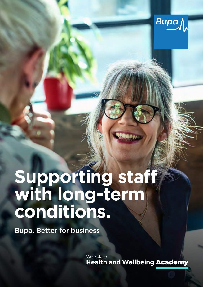

# **Supporting staff with long-term conditions.**

**Bupa.** Better for business

**Workplace Health and Wellbeing** Academy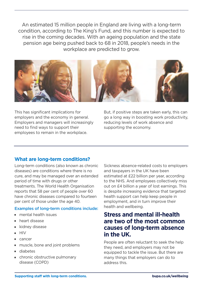An estimated 15 million people in England are living with a long-term condition, according to The King's Fund, and this number is expected to rise in the coming decades. With an ageing population and the state pension age being pushed back to 68 in 2018, people's needs in the workplace are predicted to grow.



Employers and managers will increasingly reducing levels of work absence and need to find ways to support their supporting the economy. employees to remain in the workplace.

This has significant implications for But, if positive steps are taken early, this can employers and the economy in general. go a long way in boosting work productivity,

# **What are long-term conditions?**

 per cent of those under the age 40. Long-term conditions (also known as chronic diseases) are conditions where there is no cure, and may be managed over an extended period of time with drugs or other treatments. The World Health Organisation reports that 58 per cent of people over 60 have chronic diseases compared to fourteen

#### Examples of long-term conditions include:

- mental health issues
- $\blacksquare$  heart disease
- **Kidney disease**
- $-HIV$
- $\blacksquare$  cancer
- $\blacksquare$  muscle, bone and joint problems
- $\blacksquare$  diabetes
- $\blacksquare$  chronic obstructive pulmonary disease (COPD)

Sickness absence-related costs to employers and taxpayers in the UK have been estimated at £22 billion per year, according to the NHS. And employees collectively miss out on £4 billion a year of lost earnings. This is despite increasing evidence that targeted health support can help keep people in employment, and in turn improve their health and wellbeing.

# **Stress and mental ill-health are two of the most common causes of long-term absence in the UK.**

People are often reluctant to seek the help they need, and employers may not be equipped to tackle the issue. But there are many things that employers can do to address this.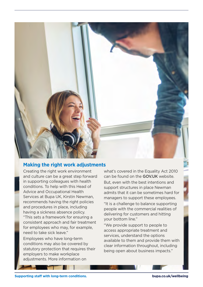

### **Making the right work adjustments**

Creating the right work environment and culture can be a great step forward in supporting colleagues with health conditions. To help with this Head of Advice and Occupational Health Services at Bupa UK, Kirstin Newman, recommends having the right policies and procedures in place, including having a sickness absence policy. "This sets a framework for ensuring a consistent approach and fair treatment for employees who may, for example, need to take sick leave."

Employees who have long-term conditions may also be covered by statutory protection that requires their employers to make workplace adiustments. More information on

what's covered in the Equality Act 2010 can be found on the GOV.UK website. But, even with the best intentions and support structures in place Newman admits that it can be sometimes hard for managers to support these employees.

"It is a challenge to balance supporting people with the commercial realities of delivering for customers and hitting your bottom line."

"We provide support to people to access appropriate treatment and services, understand the options available to them and provide them with clear information throughout, including being open about business impacts."